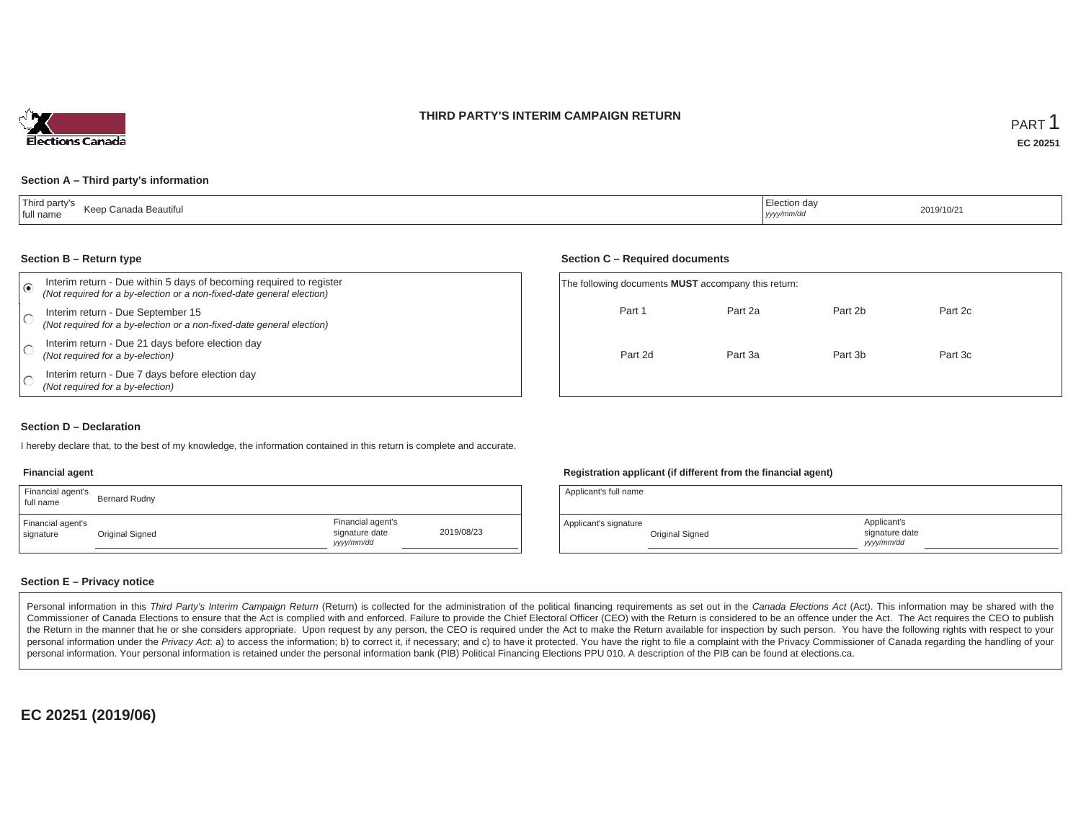



### **Section A – Third party's information**

| Third party's<br>Keep (<br>⊦Canada Beautiful.<br>full name | :lection da<br>yyyy/mm/dd | 2019/10/21 |
|------------------------------------------------------------|---------------------------|------------|
|------------------------------------------------------------|---------------------------|------------|

#### **Section B – Return type**

| ⋒ | Interim return - Due within 5 days of becoming required to register<br>(Not required for a by-election or a non-fixed-date general election) | The following documents <b>MUST</b> accompany this return: |         |         |         |  |
|---|----------------------------------------------------------------------------------------------------------------------------------------------|------------------------------------------------------------|---------|---------|---------|--|
|   | Interim return - Due September 15<br>(Not required for a by-election or a non-fixed-date general election)                                   | Part 1                                                     | Part 2a | Part 2b | Part 2c |  |
|   | Interim return - Due 21 days before election day<br>(Not required for a by-election)                                                         | Part 2d                                                    | Part 3a | Part 3b | Part 3c |  |
|   | Interim return - Due 7 days before election day<br>(Not required for a by-election)                                                          |                                                            |         |         |         |  |

#### **Section D – Declaration**

I hereby declare that, to the best of my knowledge, the information contained in this return is complete and accurate.

### **Financial agent**

| Financial agent's<br>full name | Bernard Rudny   |                                                   |            | Applicant's full name |                 |
|--------------------------------|-----------------|---------------------------------------------------|------------|-----------------------|-----------------|
| Financial agent's<br>signature | Original Signed | Financial agent's<br>signature date<br>yyyy/mm/dd | 2019/08/23 | Applicant's signature | Original Signec |

#### **Registration applicant (if different from the financial agent)**

**Section C – Required documents**

| Applicant's full name |                 |                                             |  |
|-----------------------|-----------------|---------------------------------------------|--|
| Applicant's signature | Original Signed | Applicant's<br>signature date<br>vyyy/mm/dd |  |

### **Section E – Privacy notice**

Personal information in this Third Party's Interim Campaign Return (Return) is collected for the administration of the political financing requirements as set out in the Canada Elections Act (Act). This information may be Commissioner of Canada Elections to ensure that the Act is complied with and enforced. Failure to provide the Chief Electoral Officer (CEO) with the Return is considered to be an offence under the Act. The Act requires the the Return in the manner that he or she considers appropriate. Upon request by any person, the CEO is required under the Act to make the Return available for inspection by such person. You have the following rights with re personal information under the Privacy Act. a) to access the information; b) to correct it, if necessary; and c) to have it protected. You have the right to file a complaint with the Privacy Commissioner of Canada regardin personal information. Your personal information is retained under the personal information bank (PIB) Political Financing Elections PPU 010. A description of the PIB can be found at elections.ca.

**EC 20251 (2019/06)**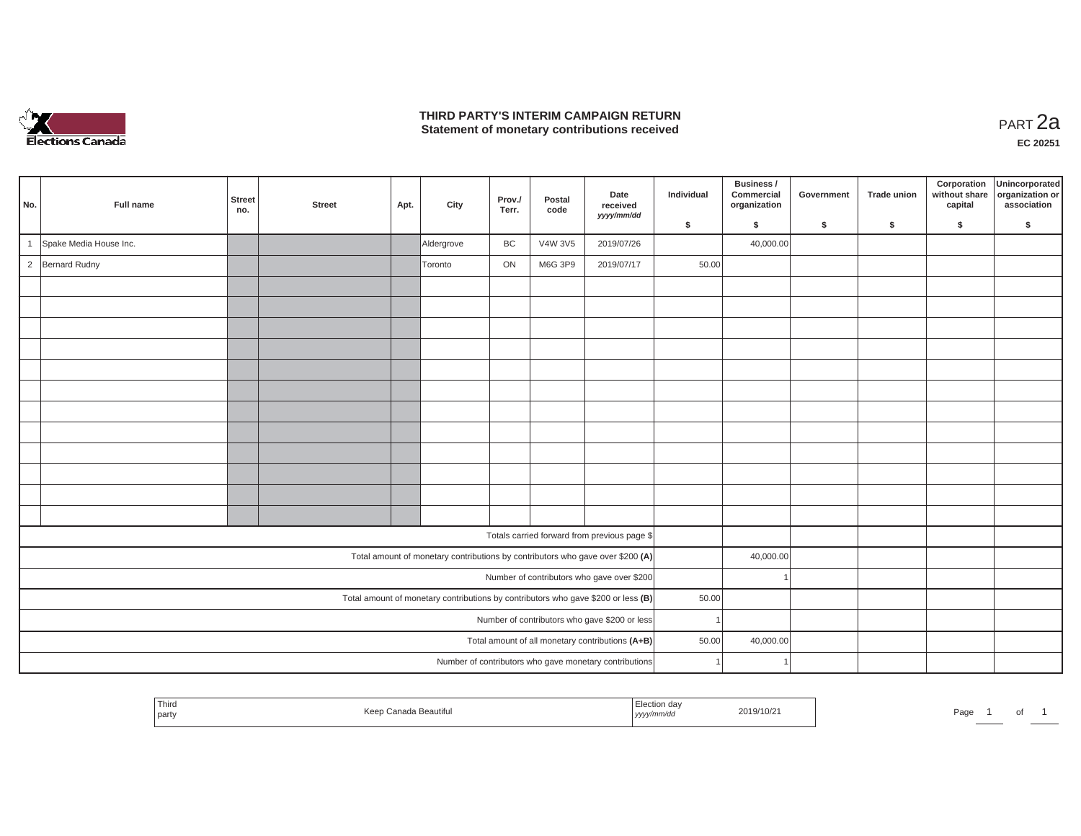

### **THIRD PARTY'S INTERIM CAMPAIGN RETURN THIRD PARTY'S INTERIM CAMPAIGN RETURN<br>Statement of monetary contributions received**

| No.            | Full name              | <b>Street</b><br>no. | <b>Street</b> | Apt. | City       | Prov./<br>Terr. | Postal<br>code | Date<br>received<br>yyyy/mm/dd                                                    | Individual | Business /<br>Commercial<br>organization | Government | <b>Trade union</b> | Corporation<br>without share<br>capital | Unincorporated<br>organization or<br>association |
|----------------|------------------------|----------------------|---------------|------|------------|-----------------|----------------|-----------------------------------------------------------------------------------|------------|------------------------------------------|------------|--------------------|-----------------------------------------|--------------------------------------------------|
|                |                        |                      |               |      |            |                 |                |                                                                                   | \$         | \$                                       | \$         | \$                 | \$                                      | \$                                               |
| $\overline{1}$ | Spake Media House Inc. |                      |               |      | Aldergrove | BC              | V4W 3V5        | 2019/07/26                                                                        |            | 40,000.00                                |            |                    |                                         |                                                  |
| $\overline{2}$ | <b>Bernard Rudny</b>   |                      |               |      | Toronto    | ON              | M6G 3P9        | 2019/07/17                                                                        | 50.00      |                                          |            |                    |                                         |                                                  |
|                |                        |                      |               |      |            |                 |                |                                                                                   |            |                                          |            |                    |                                         |                                                  |
|                |                        |                      |               |      |            |                 |                |                                                                                   |            |                                          |            |                    |                                         |                                                  |
|                |                        |                      |               |      |            |                 |                |                                                                                   |            |                                          |            |                    |                                         |                                                  |
|                |                        |                      |               |      |            |                 |                |                                                                                   |            |                                          |            |                    |                                         |                                                  |
|                |                        |                      |               |      |            |                 |                |                                                                                   |            |                                          |            |                    |                                         |                                                  |
|                |                        |                      |               |      |            |                 |                |                                                                                   |            |                                          |            |                    |                                         |                                                  |
|                |                        |                      |               |      |            |                 |                |                                                                                   |            |                                          |            |                    |                                         |                                                  |
|                |                        |                      |               |      |            |                 |                |                                                                                   |            |                                          |            |                    |                                         |                                                  |
|                |                        |                      |               |      |            |                 |                |                                                                                   |            |                                          |            |                    |                                         |                                                  |
|                |                        |                      |               |      |            |                 |                |                                                                                   |            |                                          |            |                    |                                         |                                                  |
|                |                        |                      |               |      |            |                 |                |                                                                                   |            |                                          |            |                    |                                         |                                                  |
|                |                        |                      |               |      |            |                 |                |                                                                                   |            |                                          |            |                    |                                         |                                                  |
|                |                        |                      |               |      |            |                 |                | Totals carried forward from previous page \$                                      |            |                                          |            |                    |                                         |                                                  |
|                |                        |                      |               |      |            |                 |                | Total amount of monetary contributions by contributors who gave over \$200 (A)    |            | 40,000.00                                |            |                    |                                         |                                                  |
|                |                        |                      |               |      |            |                 |                | Number of contributors who gave over \$200                                        |            |                                          |            |                    |                                         |                                                  |
|                |                        |                      |               |      |            |                 |                | Total amount of monetary contributions by contributors who gave \$200 or less (B) | 50.00      |                                          |            |                    |                                         |                                                  |
|                |                        |                      |               |      |            |                 |                | Number of contributors who gave \$200 or less                                     |            |                                          |            |                    |                                         |                                                  |
|                |                        |                      |               |      |            |                 |                | Total amount of all monetary contributions (A+B)                                  | 50.00      | 40,000.00                                |            |                    |                                         |                                                  |
|                |                        |                      |               |      |            |                 |                | Number of contributors who gave monetary contributions                            |            |                                          |            |                    |                                         |                                                  |
|                |                        |                      |               |      |            |                 |                |                                                                                   |            |                                          |            |                    |                                         |                                                  |

|  | 1 ulto<br>part | a Beautifu<br>Koon<br>$- -$ | $\mathbf{u}$<br>, <i>yyyymmv</i> aa | 2019/10/2 | Page | _____ | $\cdot$ |  |
|--|----------------|-----------------------------|-------------------------------------|-----------|------|-------|---------|--|
|--|----------------|-----------------------------|-------------------------------------|-----------|------|-------|---------|--|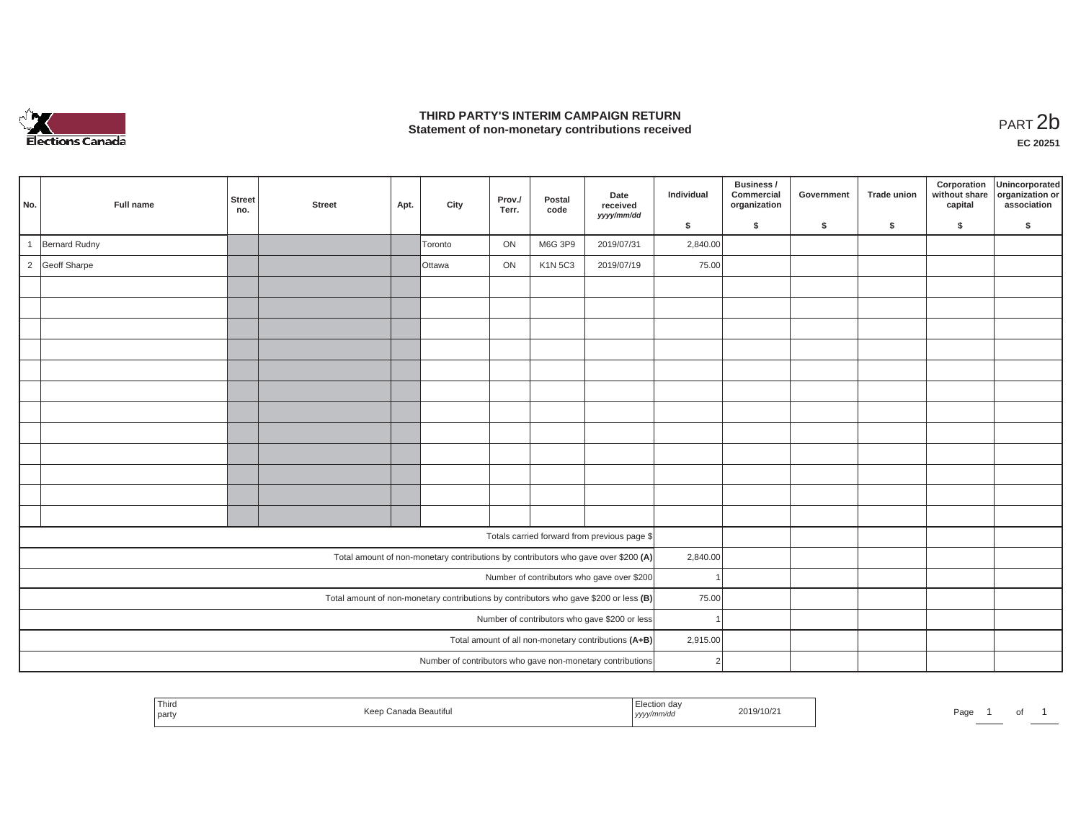

## **THIRD PARTY'S INTERIM CAMPAIGN RETURN**  THIRD PARTY'S INTERIM CAMPAIGN RETURN<br>Statement of non-monetary contributions received<br> **PART 2**b

**EC 20251**

| No. | Full name      | <b>Street</b><br>no. | <b>Street</b> | Apt. | City    | Prov./<br>Terr. | Postal<br>code | Date<br>received<br>yyyy/mm/dd                                                        | Individual    | Business /<br>Commercial<br>organization | Government | Trade union | Corporation<br>without share<br>capital | Unincorporated<br>organization or<br>association |
|-----|----------------|----------------------|---------------|------|---------|-----------------|----------------|---------------------------------------------------------------------------------------|---------------|------------------------------------------|------------|-------------|-----------------------------------------|--------------------------------------------------|
|     |                |                      |               |      |         |                 |                |                                                                                       | \$            | \$                                       | \$         | \$          | \$                                      | \$                                               |
|     | Bernard Rudny  |                      |               |      | Toronto | ON              | M6G 3P9        | 2019/07/31                                                                            | 2,840.00      |                                          |            |             |                                         |                                                  |
|     | 2 Geoff Sharpe |                      |               |      | Ottawa  | ON              | <b>K1N 5C3</b> | 2019/07/19                                                                            | 75.00         |                                          |            |             |                                         |                                                  |
|     |                |                      |               |      |         |                 |                |                                                                                       |               |                                          |            |             |                                         |                                                  |
|     |                |                      |               |      |         |                 |                |                                                                                       |               |                                          |            |             |                                         |                                                  |
|     |                |                      |               |      |         |                 |                |                                                                                       |               |                                          |            |             |                                         |                                                  |
|     |                |                      |               |      |         |                 |                |                                                                                       |               |                                          |            |             |                                         |                                                  |
|     |                |                      |               |      |         |                 |                |                                                                                       |               |                                          |            |             |                                         |                                                  |
|     |                |                      |               |      |         |                 |                |                                                                                       |               |                                          |            |             |                                         |                                                  |
|     |                |                      |               |      |         |                 |                |                                                                                       |               |                                          |            |             |                                         |                                                  |
|     |                |                      |               |      |         |                 |                |                                                                                       |               |                                          |            |             |                                         |                                                  |
|     |                |                      |               |      |         |                 |                |                                                                                       |               |                                          |            |             |                                         |                                                  |
|     |                |                      |               |      |         |                 |                |                                                                                       |               |                                          |            |             |                                         |                                                  |
|     |                |                      |               |      |         |                 |                |                                                                                       |               |                                          |            |             |                                         |                                                  |
|     |                |                      |               |      |         |                 |                |                                                                                       |               |                                          |            |             |                                         |                                                  |
|     |                |                      |               |      |         |                 |                | Totals carried forward from previous page \$                                          |               |                                          |            |             |                                         |                                                  |
|     |                |                      |               |      |         |                 |                | Total amount of non-monetary contributions by contributors who gave over \$200 (A)    | 2,840.00      |                                          |            |             |                                         |                                                  |
|     |                |                      |               |      |         |                 |                | Number of contributors who gave over \$200                                            |               |                                          |            |             |                                         |                                                  |
|     |                |                      |               |      |         |                 |                | Total amount of non-monetary contributions by contributors who gave \$200 or less (B) | 75.00         |                                          |            |             |                                         |                                                  |
|     |                |                      |               |      |         |                 |                | Number of contributors who gave \$200 or less                                         |               |                                          |            |             |                                         |                                                  |
|     |                |                      |               |      |         |                 |                | Total amount of all non-monetary contributions (A+B)                                  | 2,915.00      |                                          |            |             |                                         |                                                  |
|     |                |                      |               |      |         |                 |                | Number of contributors who gave non-monetary contributions                            | $\mathcal{P}$ |                                          |            |             |                                         |                                                  |

|  | l Third<br>party | Kee<br>ınada Beautiful | tion dar<br>נעצען | 2019/10/21 | Page |  |  |  |
|--|------------------|------------------------|-------------------|------------|------|--|--|--|
|--|------------------|------------------------|-------------------|------------|------|--|--|--|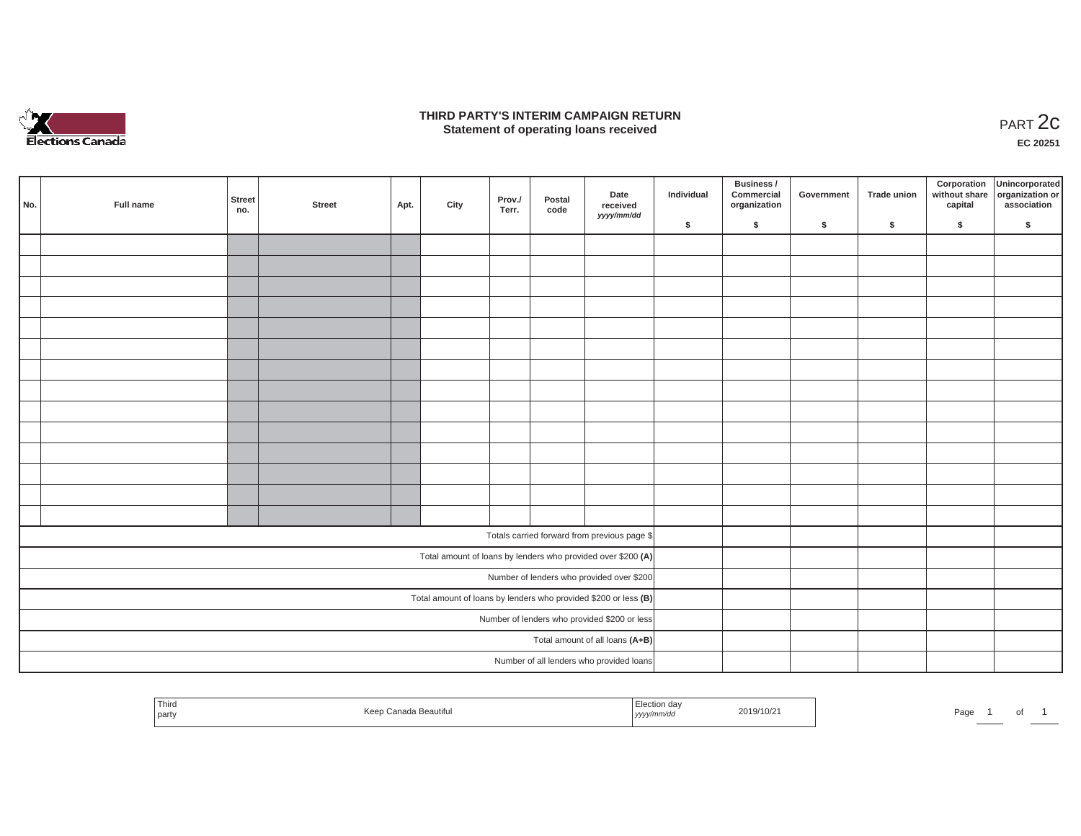

### **THIRD PARTY'S INTERIM CAMPAIGN RETURN**  RD PARTY'S INTERIM CAMPAIGN RETURN<br>Statement of operating loans received **PART 2c**

**EC 20251**

| No. | Full name                                    | Street<br>no. | <b>Street</b> | Apt. | City | Prov./<br>Terr. | Postal<br>code | Date<br>received<br>yyyy/mm/dd                                  | Individual | <b>Business /</b><br>Commercial<br>organization | Government | Trade union | Corporation<br>capital | Unincorporated<br>without share organization or<br>association |
|-----|----------------------------------------------|---------------|---------------|------|------|-----------------|----------------|-----------------------------------------------------------------|------------|-------------------------------------------------|------------|-------------|------------------------|----------------------------------------------------------------|
|     |                                              |               |               |      |      |                 |                |                                                                 | \$         | \$                                              | \$         | \$          | \$                     | \$                                                             |
|     |                                              |               |               |      |      |                 |                |                                                                 |            |                                                 |            |             |                        |                                                                |
|     |                                              |               |               |      |      |                 |                |                                                                 |            |                                                 |            |             |                        |                                                                |
|     |                                              |               |               |      |      |                 |                |                                                                 |            |                                                 |            |             |                        |                                                                |
|     |                                              |               |               |      |      |                 |                |                                                                 |            |                                                 |            |             |                        |                                                                |
|     |                                              |               |               |      |      |                 |                |                                                                 |            |                                                 |            |             |                        |                                                                |
|     |                                              |               |               |      |      |                 |                |                                                                 |            |                                                 |            |             |                        |                                                                |
|     |                                              |               |               |      |      |                 |                |                                                                 |            |                                                 |            |             |                        |                                                                |
|     |                                              |               |               |      |      |                 |                |                                                                 |            |                                                 |            |             |                        |                                                                |
|     |                                              |               |               |      |      |                 |                |                                                                 |            |                                                 |            |             |                        |                                                                |
|     |                                              |               |               |      |      |                 |                |                                                                 |            |                                                 |            |             |                        |                                                                |
|     |                                              |               |               |      |      |                 |                |                                                                 |            |                                                 |            |             |                        |                                                                |
|     |                                              |               |               |      |      |                 |                |                                                                 |            |                                                 |            |             |                        |                                                                |
|     |                                              |               |               |      |      |                 |                |                                                                 |            |                                                 |            |             |                        |                                                                |
|     |                                              |               |               |      |      |                 |                |                                                                 |            |                                                 |            |             |                        |                                                                |
|     |                                              |               |               |      |      |                 |                |                                                                 |            |                                                 |            |             |                        |                                                                |
|     |                                              |               |               |      |      |                 |                | Totals carried forward from previous page \$                    |            |                                                 |            |             |                        |                                                                |
|     |                                              |               |               |      |      |                 |                | Total amount of loans by lenders who provided over \$200 (A)    |            |                                                 |            |             |                        |                                                                |
|     |                                              |               |               |      |      |                 |                | Number of lenders who provided over \$200                       |            |                                                 |            |             |                        |                                                                |
|     |                                              |               |               |      |      |                 |                | Total amount of loans by lenders who provided \$200 or less (B) |            |                                                 |            |             |                        |                                                                |
|     | Number of lenders who provided \$200 or less |               |               |      |      |                 |                |                                                                 |            |                                                 |            |             |                        |                                                                |
|     | Total amount of all loans (A+B)              |               |               |      |      |                 |                |                                                                 |            |                                                 |            |             |                        |                                                                |
|     |                                              |               |               |      |      |                 |                | Number of all lenders who provided loans                        |            |                                                 |            |             |                        |                                                                |
|     |                                              |               |               |      |      |                 |                |                                                                 |            |                                                 |            |             |                        |                                                                |

| Third<br>ada Beautiful<br>Keep<br>party | люн ча<br>2019/10/21<br>™mm/au<br>, уууулг | Page<br>$\cdot$ |
|-----------------------------------------|--------------------------------------------|-----------------|
|-----------------------------------------|--------------------------------------------|-----------------|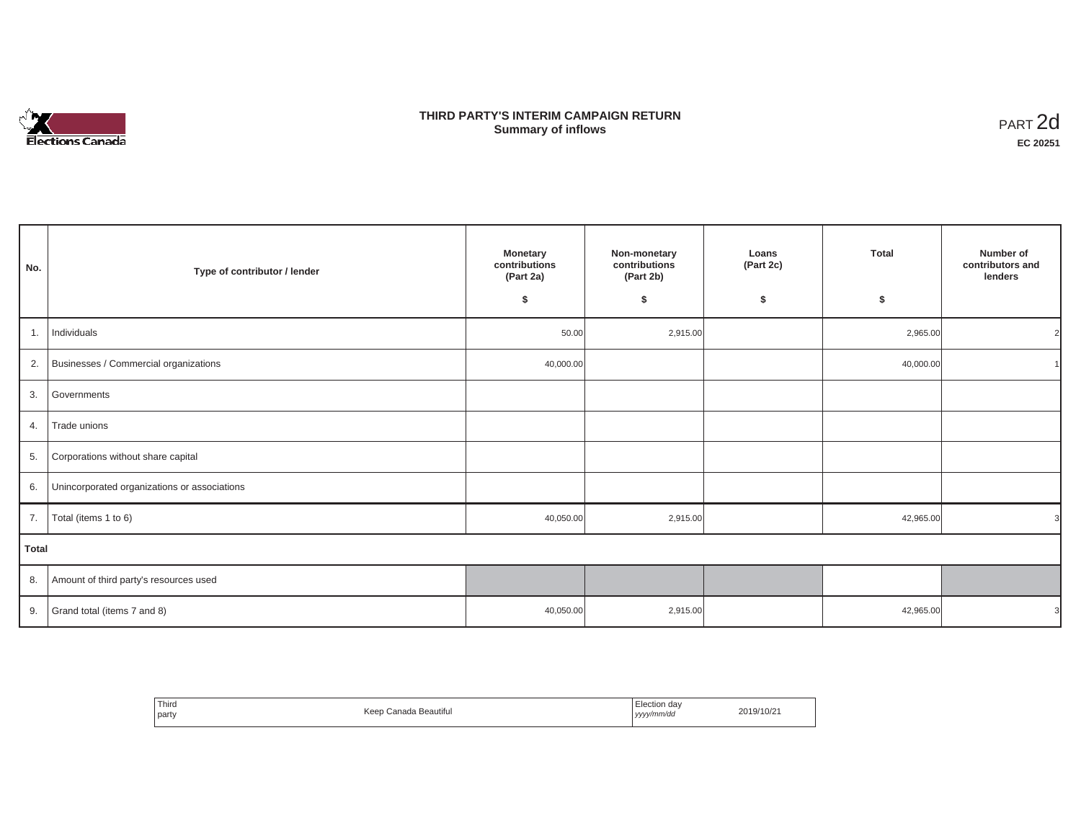

## **THIRD PARTY'S INTERIM CAMPAIGN RETURN SUMMARY STATE SUMMARY OF A SUMMARY OF A SUMMARY OF A SUMMARY OF A SUMMARY OF A SUMMARY OF A SUMMARY OF A SUMMA**<br> **Summary of inflows**

| No.   | Type of contributor / lender                 | <b>Monetary</b><br>contributions<br>(Part 2a)<br>\$ | Non-monetary<br>contributions<br>(Part 2b)<br>\$ | Loans<br>(Part 2c)<br>\$ | <b>Total</b><br>\$ | Number of<br>contributors and<br>lenders |
|-------|----------------------------------------------|-----------------------------------------------------|--------------------------------------------------|--------------------------|--------------------|------------------------------------------|
| 1.    | Individuals                                  | 50.00                                               | 2,915.00                                         |                          | 2,965.00           | $\overline{2}$                           |
|       | 2. Businesses / Commercial organizations     | 40,000.00                                           |                                                  |                          | 40,000.00          |                                          |
| 3.    | Governments                                  |                                                     |                                                  |                          |                    |                                          |
| 4.    | Trade unions                                 |                                                     |                                                  |                          |                    |                                          |
| 5.    | Corporations without share capital           |                                                     |                                                  |                          |                    |                                          |
| 6.    | Unincorporated organizations or associations |                                                     |                                                  |                          |                    |                                          |
| 7.    | Total (items 1 to 6)                         | 40,050.00                                           | 2,915.00                                         |                          | 42,965.00          | 3                                        |
| Total |                                              |                                                     |                                                  |                          |                    |                                          |
|       | 8. Amount of third party's resources used    |                                                     |                                                  |                          |                    |                                          |
| 9.    | Grand total (items 7 and 8)                  | 40,050.00                                           | 2,915.00                                         |                          | 42,965.00          | 3                                        |

| Third<br>party | Keep Canada Beautiful | Election dav<br>yyyy/mm/dd | 2019/10/21 |
|----------------|-----------------------|----------------------------|------------|
|----------------|-----------------------|----------------------------|------------|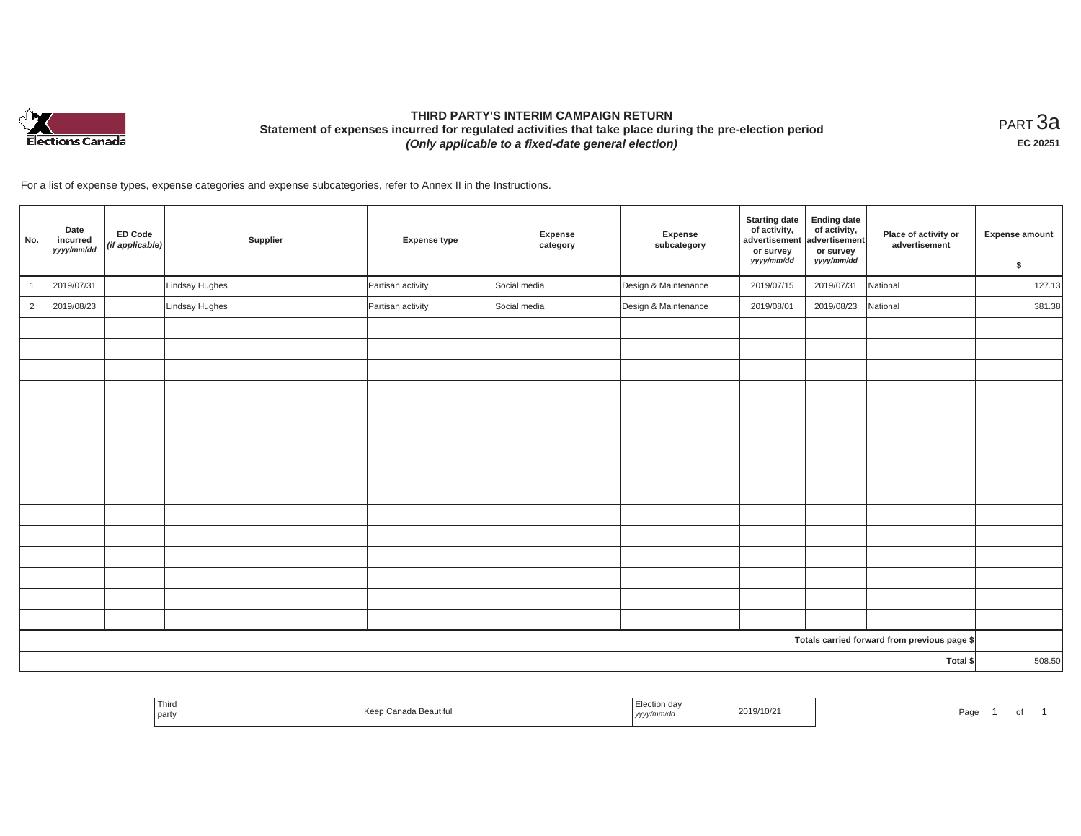

# **THIRD PARTY'S INTERIM CAMPAIGN RETURN Statement of expenses incurred for regulated activities that take place during the pre-election period**  *(Only applicable to a fixed-date general election)*

<code>PART $3$ a</code> **EC 20251**

For a list of expense types, expense categories and expense subcategories, refer to Annex II in the Instructions.

| No.                                          | Date<br>incurred<br>yyyy/mm/dd | <b>ED Code</b><br>(if applicable) | Supplier       | <b>Expense type</b> | Expense<br>category | Expense<br>subcategory | <b>Starting date</b><br>of activity,<br>advertisement<br>or survey<br>yyyy/mm/dd | <b>Ending date</b><br>of activity,<br>advertisement<br>or survey<br>yyyy/mm/dd | Place of activity or<br>advertisement | <b>Expense amount</b><br>\$ |
|----------------------------------------------|--------------------------------|-----------------------------------|----------------|---------------------|---------------------|------------------------|----------------------------------------------------------------------------------|--------------------------------------------------------------------------------|---------------------------------------|-----------------------------|
|                                              | 2019/07/31                     |                                   | Lindsay Hughes | Partisan activity   | Social media        | Design & Maintenance   | 2019/07/15                                                                       | 2019/07/31                                                                     | National                              | 127.13                      |
| $\overline{2}$                               | 2019/08/23                     |                                   | Lindsay Hughes | Partisan activity   | Social media        | Design & Maintenance   | 2019/08/01                                                                       | 2019/08/23                                                                     | National                              | 381.38                      |
|                                              |                                |                                   |                |                     |                     |                        |                                                                                  |                                                                                |                                       |                             |
|                                              |                                |                                   |                |                     |                     |                        |                                                                                  |                                                                                |                                       |                             |
|                                              |                                |                                   |                |                     |                     |                        |                                                                                  |                                                                                |                                       |                             |
|                                              |                                |                                   |                |                     |                     |                        |                                                                                  |                                                                                |                                       |                             |
|                                              |                                |                                   |                |                     |                     |                        |                                                                                  |                                                                                |                                       |                             |
|                                              |                                |                                   |                |                     |                     |                        |                                                                                  |                                                                                |                                       |                             |
|                                              |                                |                                   |                |                     |                     |                        |                                                                                  |                                                                                |                                       |                             |
|                                              |                                |                                   |                |                     |                     |                        |                                                                                  |                                                                                |                                       |                             |
|                                              |                                |                                   |                |                     |                     |                        |                                                                                  |                                                                                |                                       |                             |
|                                              |                                |                                   |                |                     |                     |                        |                                                                                  |                                                                                |                                       |                             |
|                                              |                                |                                   |                |                     |                     |                        |                                                                                  |                                                                                |                                       |                             |
|                                              |                                |                                   |                |                     |                     |                        |                                                                                  |                                                                                |                                       |                             |
|                                              |                                |                                   |                |                     |                     |                        |                                                                                  |                                                                                |                                       |                             |
|                                              |                                |                                   |                |                     |                     |                        |                                                                                  |                                                                                |                                       |                             |
|                                              |                                |                                   |                |                     |                     |                        |                                                                                  |                                                                                |                                       |                             |
| Totals carried forward from previous page \$ |                                |                                   |                |                     |                     |                        |                                                                                  |                                                                                |                                       |                             |
| Total \$                                     |                                |                                   |                |                     |                     |                        | 508.50                                                                           |                                                                                |                                       |                             |

| Third<br>Beautitul<br><b>Contract Contract Contract</b><br>  party | 2019/10/2<br>. | Page<br>of |
|--------------------------------------------------------------------|----------------|------------|
|--------------------------------------------------------------------|----------------|------------|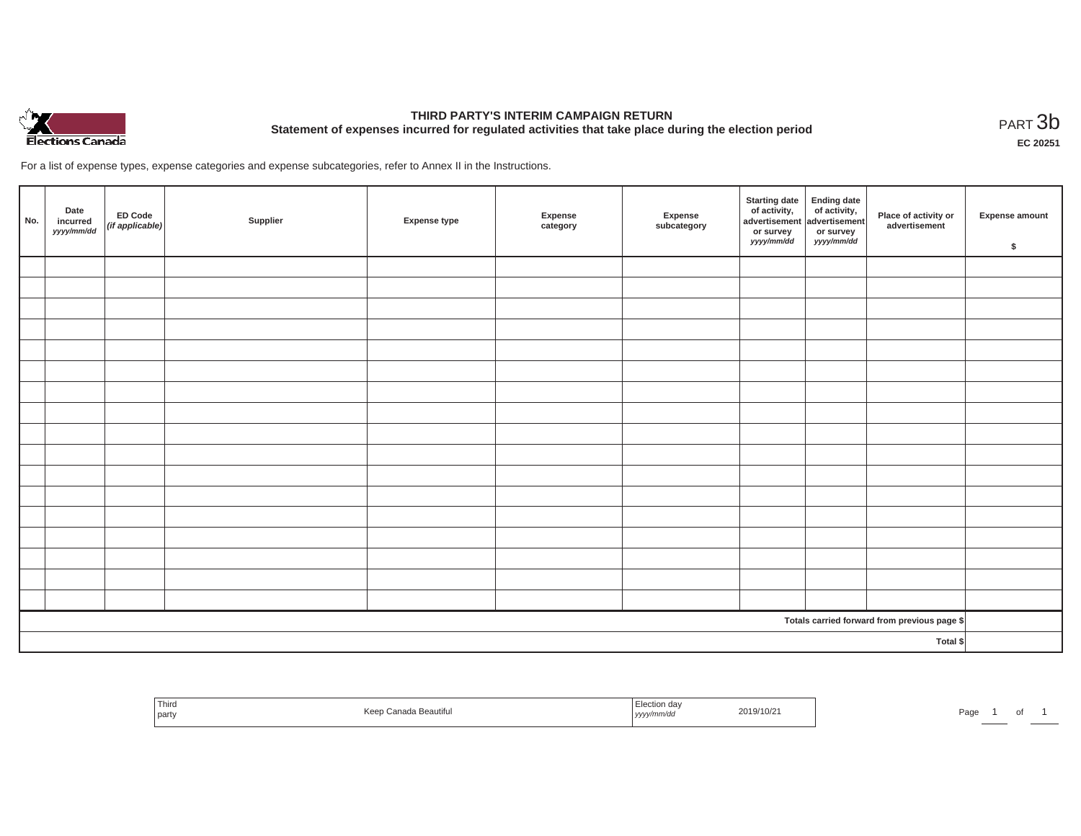

# **THIRD PARTY'S INTERIM CAMPAIGN RETURN Statement of expenses incurred for regulated activities that take place during the election period**<br>РАRТ  $3\text{b}$

**EC 20251**

For a list of expense types, expense categories and expense subcategories, refer to Annex II in the Instructions.

| No.      | Date<br>incurred<br>yyyy/mm/dd | ED Code<br>(if applicable) | Supplier | <b>Expense type</b> | Expense<br>category | Expense<br>subcategory | <b>Starting date</b><br>of activity,<br>advertisement<br>or survey<br>yyyy/mm/dd | Ending date<br>of activity,<br>advertisement<br>or survey<br>yyyy/mm/dd | Place of activity or<br>advertisement        | Expense amount<br>\$ |
|----------|--------------------------------|----------------------------|----------|---------------------|---------------------|------------------------|----------------------------------------------------------------------------------|-------------------------------------------------------------------------|----------------------------------------------|----------------------|
|          |                                |                            |          |                     |                     |                        |                                                                                  |                                                                         |                                              |                      |
|          |                                |                            |          |                     |                     |                        |                                                                                  |                                                                         |                                              |                      |
|          |                                |                            |          |                     |                     |                        |                                                                                  |                                                                         |                                              |                      |
|          |                                |                            |          |                     |                     |                        |                                                                                  |                                                                         |                                              |                      |
|          |                                |                            |          |                     |                     |                        |                                                                                  |                                                                         |                                              |                      |
|          |                                |                            |          |                     |                     |                        |                                                                                  |                                                                         |                                              |                      |
|          |                                |                            |          |                     |                     |                        |                                                                                  |                                                                         |                                              |                      |
|          |                                |                            |          |                     |                     |                        |                                                                                  |                                                                         |                                              |                      |
|          |                                |                            |          |                     |                     |                        |                                                                                  |                                                                         |                                              |                      |
|          |                                |                            |          |                     |                     |                        |                                                                                  |                                                                         |                                              |                      |
|          |                                |                            |          |                     |                     |                        |                                                                                  |                                                                         |                                              |                      |
|          |                                |                            |          |                     |                     |                        |                                                                                  |                                                                         |                                              |                      |
|          |                                |                            |          |                     |                     |                        |                                                                                  |                                                                         |                                              |                      |
|          |                                |                            |          |                     |                     |                        |                                                                                  |                                                                         |                                              |                      |
|          |                                |                            |          |                     |                     |                        |                                                                                  |                                                                         |                                              |                      |
|          |                                |                            |          |                     |                     |                        |                                                                                  |                                                                         |                                              |                      |
|          |                                |                            |          |                     |                     |                        |                                                                                  |                                                                         |                                              |                      |
|          |                                |                            |          |                     |                     |                        |                                                                                  |                                                                         | Totals carried forward from previous page \$ |                      |
| Total \$ |                                |                            |          |                     |                     |                        |                                                                                  |                                                                         |                                              |                      |

| Third<br>Keep Canada Beautiful<br>party | Election day<br>2019/10/21<br>.<br>  yyyy/mm/dd | Page |
|-----------------------------------------|-------------------------------------------------|------|
|-----------------------------------------|-------------------------------------------------|------|